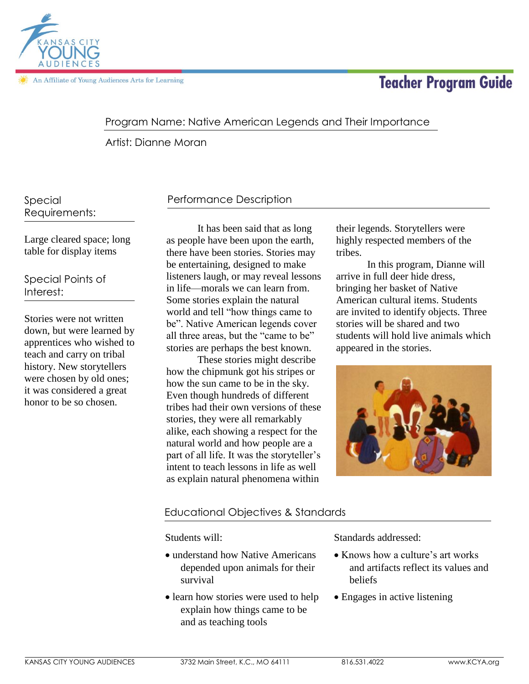

# **Teacher Program Guide**

## Program Name: Native American Legends and Their Importance

Artist: Dianne Moran

Special Requirements:

Large cleared space; long table for display items

Special Points of Interest:

Stories were not written down, but were learned by apprentices who wished to teach and carry on tribal history. New storytellers were chosen by old ones; it was considered a great honor to be so chosen.

# Performance Description

It has been said that as long as people have been upon the earth, there have been stories. Stories may be entertaining, designed to make listeners laugh, or may reveal lessons in life—morals we can learn from. Some stories explain the natural world and tell "how things came to be". Native American legends cover all three areas, but the "came to be" stories are perhaps the best known.

These stories might describe how the chipmunk got his stripes or how the sun came to be in the sky. Even though hundreds of different tribes had their own versions of these stories, they were all remarkably alike, each showing a respect for the natural world and how people are a part of all life. It was the storyteller's intent to teach lessons in life as well as explain natural phenomena within

their legends. Storytellers were highly respected members of the tribes.

In this program, Dianne will arrive in full deer hide dress, bringing her basket of Native American cultural items. Students are invited to identify objects. Three stories will be shared and two students will hold live animals which appeared in the stories.



## Educational Objectives & Standards

Students will:

- understand how Native Americans depended upon animals for their survival
- learn how stories were used to help explain how things came to be and as teaching tools

Standards addressed:

- Knows how a culture's art works and artifacts reflect its values and beliefs
- Engages in active listening